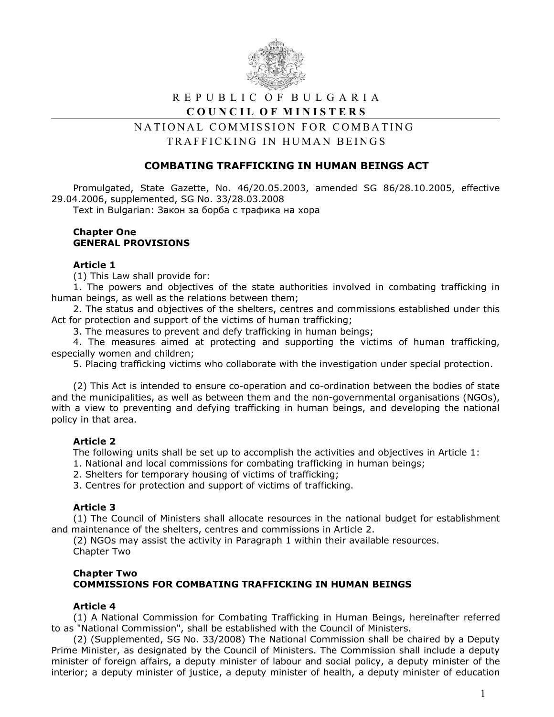

# R E P U B L I C O F B U L G A R I A COUNCIL OF MINISTERS

# NATIONAL COMMISSION FOR COMBATING TRAFFICKING IN HUMAN BEINGS

## **COMBATING TRAFFICKING IN HUMAN BEINGS ACT**

Promulgated, State Gazette, No. 46/20.05.2003, amended SG 86/28.10.2005, effective 29.04.2006, supplemented, SG No. 33/28.03.2008

Text in Bulgarian: Закон за борба с трафика на хора

#### **Chapter One GENERAL PROVISIONS**

### **Article 1**

(1) This Law shall provide for:

1. The powers and objectives of the state authorities involved in combating trafficking in human beings, as well as the relations between them;

2. The status and objectives of the shelters, centres and commissions established under this Act for protection and support of the victims of human trafficking;

3. The measures to prevent and defy trafficking in human beings;

4. The measures aimed at protecting and supporting the victims of human trafficking, especially women and children;

5. Placing trafficking victims who collaborate with the investigation under special protection.

(2) This Act is intended to ensure co-operation and co-ordination between the bodies of state and the municipalities, as well as between them and the non-governmental organisations (NGOs), with a view to preventing and defying trafficking in human beings, and developing the national policy in that area.

### **Article 2**

The following units shall be set up to accomplish the activities and objectives in Article 1:

- 1. National and local commissions for combating trafficking in human beings;
- 2. Shelters for temporary housing of victims of trafficking;

3. Centres for protection and support of victims of trafficking.

### **Article 3**

(1) The Council of Ministers shall allocate resources in the national budget for establishment and maintenance of the shelters, centres and commissions in Article 2.

(2) NGOs may assist the activity in Paragraph 1 within their available resources. Chapter Two

## **Chapter Two COMMISSIONS FOR COMBATING TRAFFICKING IN HUMAN BEINGS**

### **Article 4**

(1) A National Commission for Combating Trafficking in Human Beings, hereinafter referred to as "National Commission", shall be established with the Council of Ministers.

(2) (Supplemented, SG No. 33/2008) The National Commission shall be chaired by a Deputy Prime Minister, as designated by the Council of Ministers. The Commission shall include a deputy minister of foreign affairs, a deputy minister of labour and social policy, a deputy minister of the interior; a deputy minister of justice, a deputy minister of health, a deputy minister of education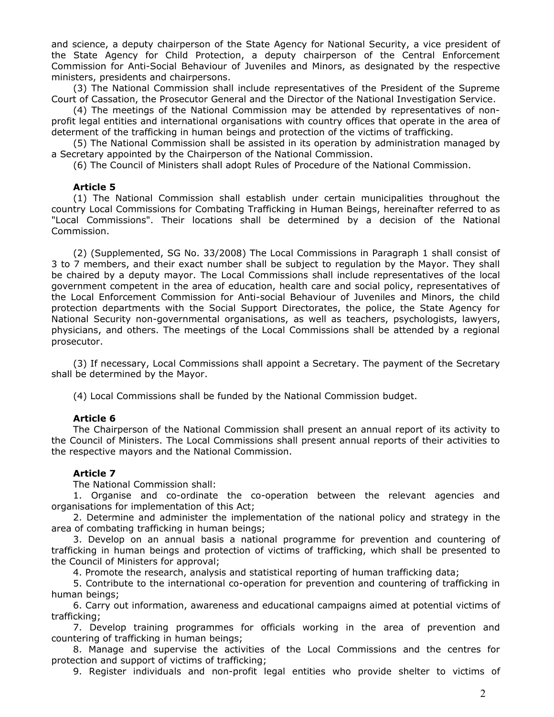and science, a deputy chairperson of the State Agency for National Security, a vice president of the State Agency for Child Protection, a deputy chairperson of the Central Enforcement Commission for Anti-Social Behaviour of Juveniles and Minors, as designated by the respective ministers, presidents and chairpersons.

(3) The National Commission shall include representatives of the President of the Supreme Court of Cassation, the Prosecutor General and the Director of the National Investigation Service.

(4) The meetings of the National Commission may be attended by representatives of nonprofit legal entities and international organisations with country offices that operate in the area of determent of the trafficking in human beings and protection of the victims of trafficking.

(5) The National Commission shall be assisted in its operation by administration managed by a Secretary appointed by the Chairperson of the National Commission.

(6) The Council of Ministers shall adopt Rules of Procedure of the National Commission.

#### **Article 5**

(1) The National Commission shall establish under certain municipalities throughout the country Local Commissions for Combating Trafficking in Human Beings, hereinafter referred to as "Local Commissions". Their locations shall be determined by a decision of the National Commission.

(2) (Supplemented, SG No. 33/2008) The Local Commissions in Paragraph 1 shall consist of 3 to 7 members, and their exact number shall be subject to regulation by the Mayor. They shall be chaired by a deputy mayor. The Local Commissions shall include representatives of the local government competent in the area of education, health care and social policy, representatives of the Local Enforcement Commission for Anti-social Behaviour of Juveniles and Minors, the child protection departments with the Social Support Directorates, the police, the State Agency for National Security non-governmental organisations, as well as teachers, psychologists, lawyers, physicians, and others. The meetings of the Local Commissions shall be attended by a regional prosecutor.

(3) If necessary, Local Commissions shall appoint a Secretary. The payment of the Secretary shall be determined by the Mayor.

(4) Local Commissions shall be funded by the National Commission budget.

#### **Article 6**

The Chairperson of the National Commission shall present an annual report of its activity to the Council of Ministers. The Local Commissions shall present annual reports of their activities to the respective mayors and the National Commission.

### **Article 7**

The National Commission shall:

1. Organise and co-ordinate the co-operation between the relevant agencies and organisations for implementation of this Act;

2. Determine and administer the implementation of the national policy and strategy in the area of combating trafficking in human beings;

3. Develop on an annual basis a national programme for prevention and countering of trafficking in human beings and protection of victims of trafficking, which shall be presented to the Council of Ministers for approval;

4. Promote the research, analysis and statistical reporting of human trafficking data;

5. Contribute to the international co-operation for prevention and countering of trafficking in human beings;

6. Carry out information, awareness and educational campaigns aimed at potential victims of trafficking;

7. Develop training programmes for officials working in the area of prevention and countering of trafficking in human beings;

8. Manage and supervise the activities of the Local Commissions and the centres for protection and support of victims of trafficking;

9. Register individuals and non-profit legal entities who provide shelter to victims of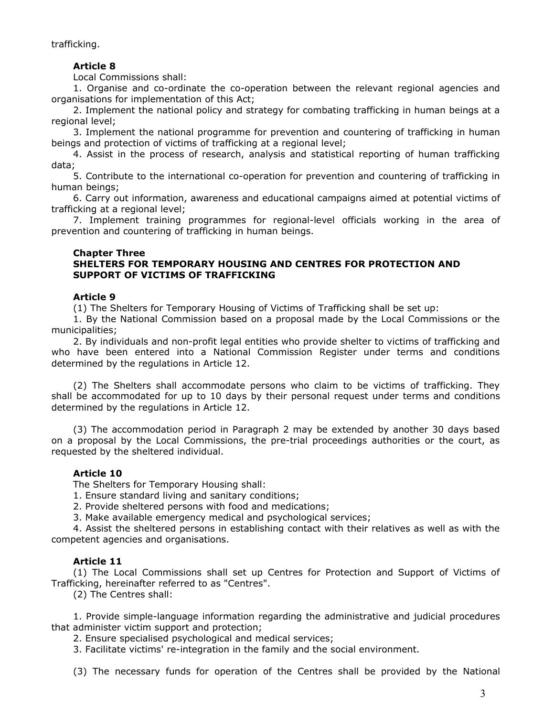trafficking.

## **Article 8**

Local Commissions shall:

1. Organise and co-ordinate the co-operation between the relevant regional agencies and organisations for implementation of this Act;

2. Implement the national policy and strategy for combating trafficking in human beings at a regional level;

3. Implement the national programme for prevention and countering of trafficking in human beings and protection of victims of trafficking at a regional level;

4. Assist in the process of research, analysis and statistical reporting of human trafficking data;

5. Contribute to the international co-operation for prevention and countering of trafficking in human beings;

6. Carry out information, awareness and educational campaigns aimed at potential victims of trafficking at a regional level;

7. Implement training programmes for regional-level officials working in the area of prevention and countering of trafficking in human beings.

## **Chapter Three**

## **SHELTERS FOR TEMPORARY HOUSING AND CENTRES FOR PROTECTION AND SUPPORT OF VICTIMS OF TRAFFICKING**

## **Article 9**

(1) The Shelters for Temporary Housing of Victims of Trafficking shall be set up:

1. By the National Commission based on a proposal made by the Local Commissions or the municipalities;

2. By individuals and non-profit legal entities who provide shelter to victims of trafficking and who have been entered into a National Commission Register under terms and conditions determined by the regulations in Article 12.

(2) The Shelters shall accommodate persons who claim to be victims of trafficking. They shall be accommodated for up to 10 days by their personal request under terms and conditions determined by the regulations in Article 12.

(3) The accommodation period in Paragraph 2 may be extended by another 30 days based on a proposal by the Local Commissions, the pre-trial proceedings authorities or the court, as requested by the sheltered individual.

# **Article 10**

The Shelters for Temporary Housing shall:

1. Ensure standard living and sanitary conditions;

2. Provide sheltered persons with food and medications;

3. Make available emergency medical and psychological services;

4. Assist the sheltered persons in establishing contact with their relatives as well as with the competent agencies and organisations.

## **Article 11**

(1) The Local Commissions shall set up Centres for Protection and Support of Victims of Trafficking, hereinafter referred to as "Centres".

(2) The Centres shall:

1. Provide simple-language information regarding the administrative and judicial procedures that administer victim support and protection;

2. Ensure specialised psychological and medical services;

3. Facilitate victims' re-integration in the family and the social environment.

(3) The necessary funds for operation of the Centres shall be provided by the National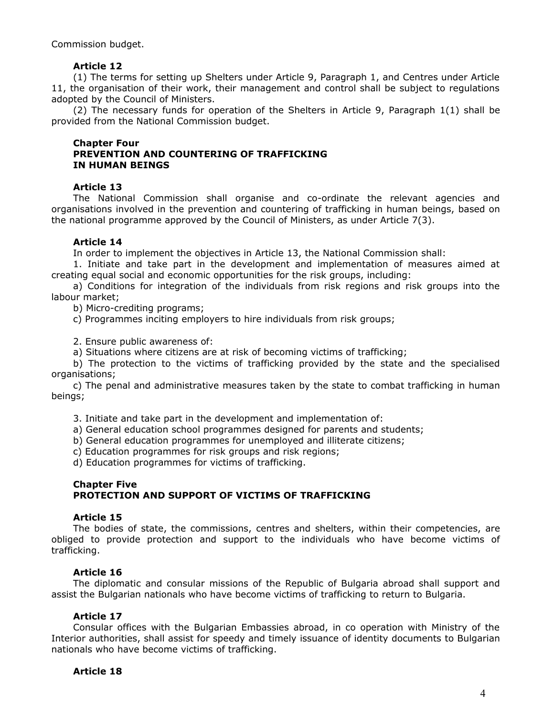Commission budget.

## **Article 12**

(1) The terms for setting up Shelters under Article 9, Paragraph 1, and Centres under Article 11, the organisation of their work, their management and control shall be subject to regulations adopted by the Council of Ministers.

(2) The necessary funds for operation of the Shelters in Article 9, Paragraph 1(1) shall be provided from the National Commission budget.

#### **Chapter Four PREVENTION AND COUNTERING OF TRAFFICKING IN HUMAN BEINGS**

## **Article 13**

The National Commission shall organise and co-ordinate the relevant agencies and organisations involved in the prevention and countering of trafficking in human beings, based on the national programme approved by the Council of Ministers, as under Article 7(3).

## **Article 14**

In order to implement the objectives in Article 13, the National Commission shall:

1. Initiate and take part in the development and implementation of measures aimed at creating equal social and economic opportunities for the risk groups, including:

a) Conditions for integration of the individuals from risk regions and risk groups into the labour market;

b) Micro-crediting programs;

c) Programmes inciting employers to hire individuals from risk groups;

2. Ensure public awareness of:

a) Situations where citizens are at risk of becoming victims of trafficking;

b) The protection to the victims of trafficking provided by the state and the specialised organisations;

c) The penal and administrative measures taken by the state to combat trafficking in human beings;

3. Initiate and take part in the development and implementation of:

a) General education school programmes designed for parents and students;

b) General education programmes for unemployed and illiterate citizens;

c) Education programmes for risk groups and risk regions;

d) Education programmes for victims of trafficking.

## **Chapter Five PROTECTION AND SUPPORT OF VICTIMS OF TRAFFICKING**

### **Article 15**

The bodies of state, the commissions, centres and shelters, within their competencies, are obliged to provide protection and support to the individuals who have become victims of trafficking.

## **Article 16**

The diplomatic and consular missions of the Republic of Bulgaria abroad shall support and assist the Bulgarian nationals who have become victims of trafficking to return to Bulgaria.

### **Article 17**

Consular offices with the Bulgarian Embassies abroad, in co operation with Ministry of the Interior authorities, shall assist for speedy and timely issuance of identity documents to Bulgarian nationals who have become victims of trafficking.

## **Article 18**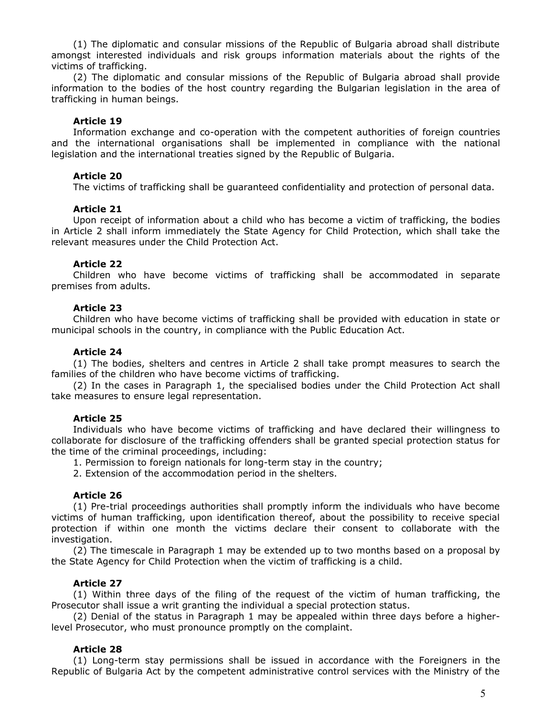(1) The diplomatic and consular missions of the Republic of Bulgaria abroad shall distribute amongst interested individuals and risk groups information materials about the rights of the victims of trafficking.

(2) The diplomatic and consular missions of the Republic of Bulgaria abroad shall provide information to the bodies of the host country regarding the Bulgarian legislation in the area of trafficking in human beings.

#### **Article 19**

Information exchange and co-operation with the competent authorities of foreign countries and the international organisations shall be implemented in compliance with the national legislation and the international treaties signed by the Republic of Bulgaria.

#### **Article 20**

The victims of trafficking shall be guaranteed confidentiality and protection of personal data.

#### **Article 21**

Upon receipt of information about a child who has become a victim of trafficking, the bodies in Article 2 shall inform immediately the State Agency for Child Protection, which shall take the relevant measures under the Child Protection Act.

#### **Article 22**

Children who have become victims of trafficking shall be accommodated in separate premises from adults.

#### **Article 23**

Children who have become victims of trafficking shall be provided with education in state or municipal schools in the country, in compliance with the Public Education Act.

#### **Article 24**

(1) The bodies, shelters and centres in Article 2 shall take prompt measures to search the families of the children who have become victims of trafficking.

(2) In the cases in Paragraph 1, the specialised bodies under the Child Protection Act shall take measures to ensure legal representation.

#### **Article 25**

Individuals who have become victims of trafficking and have declared their willingness to collaborate for disclosure of the trafficking offenders shall be granted special protection status for the time of the criminal proceedings, including:

1. Permission to foreign nationals for long-term stay in the country;

2. Extension of the accommodation period in the shelters.

#### **Article 26**

(1) Pre-trial proceedings authorities shall promptly inform the individuals who have become victims of human trafficking, upon identification thereof, about the possibility to receive special protection if within one month the victims declare their consent to collaborate with the investigation.

(2) The timescale in Paragraph 1 may be extended up to two months based on a proposal by the State Agency for Child Protection when the victim of trafficking is a child.

#### **Article 27**

(1) Within three days of the filing of the request of the victim of human trafficking, the Prosecutor shall issue a writ granting the individual a special protection status.

(2) Denial of the status in Paragraph 1 may be appealed within three days before a higherlevel Prosecutor, who must pronounce promptly on the complaint.

#### **Article 28**

(1) Long-term stay permissions shall be issued in accordance with the Foreigners in the Republic of Bulgaria Act by the competent administrative control services with the Ministry of the